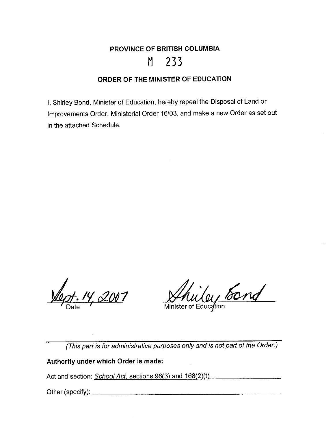# **PROVINCE OF BRITISH COLUMBIA M 233**

#### **ORDER OF THE MINISTER OF EDUCATION**

I, Shirley Bond, Minister of Education, hereby repeal the Disposal of Land or Improvements Order, Ministerial Order 16/03, and make a new Order as set out in the attached Schedule.

*at. 14, 2007* 

Shilly Sond

(This part is for administrative purposes only and is not part of the Order.)

**Authority under which Order is made:** 

Act and section: School Act, sections 96(3) and 168(2)(t)

Other (specify): \_\_\_\_\_\_\_\_\_\_\_\_\_\_\_\_\_\_\_\_\_ \_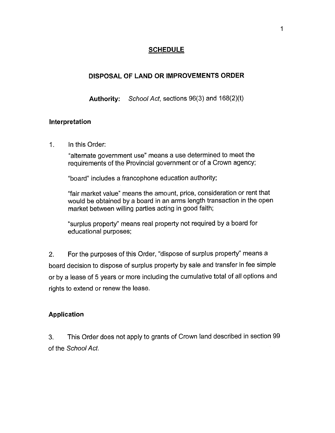## **SCHEDULE**

## **DISPOSAL OF LAND OR IMPROVEMENTS ORDER**

**Authority:** School Act, sections 96(3) and 168(2)(t)

#### **Interpretation**

1. In this Order:

"alternate government use" means a use determined to meet the requirements of the Provincial government or of a Crown agency;

"board" includes a francophone education authority;

"fair market value" means the amount, price, consideration or rent that would be obtained by a board in an arms length transaction in the open market between willing parties acting in good faith;

"surplus property'' means real property not required by a board for educational purposes;

2. For the purposes of this Order, "dispose of surplus property" means a board decision to dispose of surplus property by sale and transfer in fee simple or by a lease of 5 years or more including the cumulative total of all options and rights to extend or renew the lease.

## **Application**

3. This Order does not apply to grants of Crown land described in section 99 of the School Act.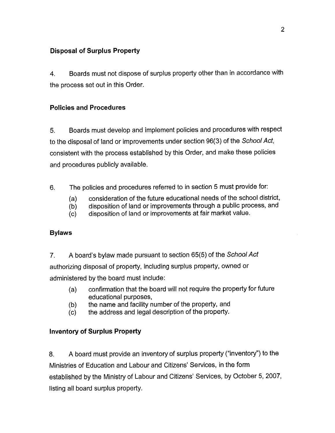## **Disposal of Surplus Property**

4. Boards must not dispose of surplus property other than in accordance with the process set out in this Order.

## **Policies and Procedures**

5. Boards must develop and implement policies and procedures with respect to the disposal of land or improvements under section 96(3) of the School Act, consistent with the process established by this Order, and make these policies and procedures publicly available.

- 6. The policies and procedures referred to in section 5 must provide for:
	- (a) consideration of the future educational needs of the school district,
	- (b) disposition of land or improvements through a public process, and
	- (c) disposition of land or improvements at fair market value.

## **Bylaws**

7. A board's bylaw made pursuant to section 65(5) of the School Act authorizing disposal of property, including surplus property, owned or administered by the board must include:

- (a) confirmation that the board will not require the property for future educational purposes,
- (b) the name and facility number of the property, and
- (c) the address and legal description of the property.

## **Inventory of Surplus Property**

8. A board must provide an inventory of surplus property ("inventory'') to the Ministries of Education and Labour and Citizens' Services, in the form established by the Ministry of Labour and Citizens' Services, by October 5, 2007, listing all board surplus property.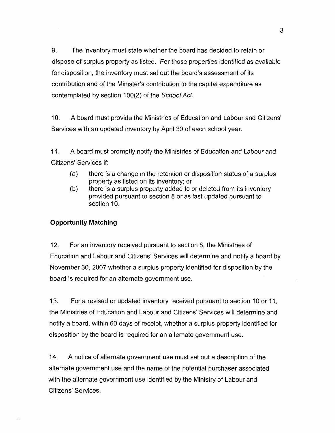9. The inventory must state whether the board has decided to retain or dispose of surplus property as listed. For those properties identified as available for disposition, the inventory must set out the board's assessment of its contribution and of the Minister's contribution to the capital expenditure as contemplated by section 100(2) of the School Act.

10. A board must provide the Ministries of Education and Labour and Citizens' Services with an updated inventory by April 30 of each school year.

11. A board must promptly notify the Ministries of Education and Labour and Citizens' Services if:

- (a) there is a change in the retention or disposition status of a surplus property as listed on its inventory; or
- (b) there is a surplus property added to or deleted from its inventory provided pursuant *to* section 8 or as last updated pursuant to section 10.

## **Opportunity Matching**

12. For an inventory received pursuant to section 8, the Ministries of Education and Labour and Citizens' Services will determine and notify a board by November 30, 2007 whether a surplus property identified for disposition by the board is required for an alternate government use.

13. For a revised or updated inventory received pursuant to section 10 or 11, the Ministries of Education and Labour and Citizens' Services will determine and notify a board, within 60 days of receipt, whether a surplus property identified for disposition by the board is required for an alternate government use.

14. A notice of alternate government use must set out a description of the alternate government use and the name of the potential purchaser associated with the alternate government use identified by the Ministry of Labour and Citizens' Services.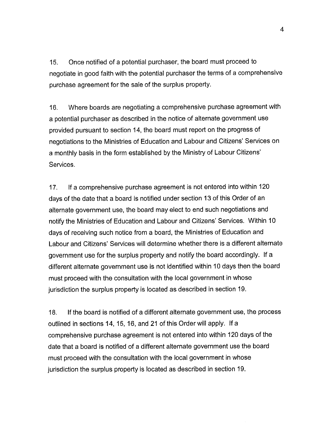15. Once notified of a potential purchaser, the board must proceed to negotiate in good faith with the potential purchaser the terms of a comprehensive purchase agreement for the sale of the surplus property.

16. Where boards are negotiating a comprehensive purchase agreement with a potential purchaser as described in the notice of alternate government use provided pursuant to section 14, the board must report on the progress of negotiations to the Ministries of Education and Labour and Citizens' Services on a monthly basis in the form established by the Ministry of Labour Citizens' Services.

17. If a comprehensive purchase agreement is not entered into within 120 days of the date that a board is notified under section 13 of this Order of an alternate government use, the board may elect to end such negotiations and notify the Ministries of Education and Labour and Citizens' Services. Within 10 days of receiving such notice from a board, the Ministries of Education and Labour and Citizens' Services will determine whether there is a different alternate government use for the surplus property and notify the board accordingly. If a different alternate government use is not identified within 10 days then the board must proceed with the consultation with the local government in whose jurisdiction the surplus property is located as described in section 19.

18. If the board is notified of a different alternate government use, the process outlined in sections 14, 15, 16, and 21 of this Order will apply. If a comprehensive purchase agreement is not entered into within 120 days of the date that a board is notified of a different alternate government use the board must proceed with the consultation with the local government in whose jurisdiction the surplus property is located as described in section 19.